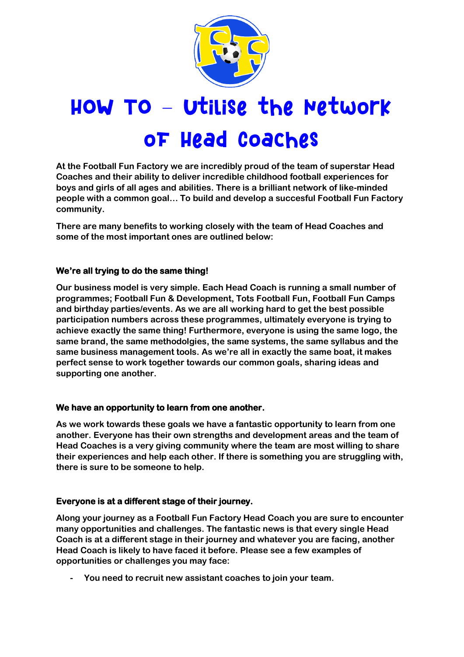

# HOW TO - Utilise the Network **OF Head Coaches**

**At the Football Fun Factory we are incredibly proud of the team of superstar Head Coaches and their ability to deliver incredible childhood football experiences for boys and girls of all ages and abilities. There is a brilliant network of like-minded people with a common goal… To build and develop a succesful Football Fun Factory community.**

**There are many benefits to working closely with the team of Head Coaches and some of the most important ones are outlined below:**

# **We're all trying to do the same thing!**

**Our business model is very simple. Each Head Coach is running a small number of programmes; Football Fun & Development, Tots Football Fun, Football Fun Camps and birthday parties/events. As we are all working hard to get the best possible participation numbers across these programmes, ultimately everyone is trying to achieve exactly the same thing! Furthermore, everyone is using the same logo, the same brand, the same methodolgies, the same systems, the same syllabus and the same business management tools. As we're all in exactly the same boat, it makes perfect sense to work together towards our common goals, sharing ideas and supporting one another.**

# **We have an opportunity to learn from one another.**

**As we work towards these goals we have a fantastic opportunity to learn from one another. Everyone has their own strengths and development areas and the team of Head Coaches is a very giving community where the team are most willing to share their experiences and help each other. If there is something you are struggling with, there is sure to be someone to help.** 

# **Everyone is at a different stage of their journey.**

**Along your journey as a Football Fun Factory Head Coach you are sure to encounter many opportunities and challenges. The fantastic news is that every single Head Coach is at a different stage in their journey and whatever you are facing, another Head Coach is likely to have faced it before. Please see a few examples of opportunities or challenges you may face:**

**- You need to recruit new assistant coaches to join your team.**